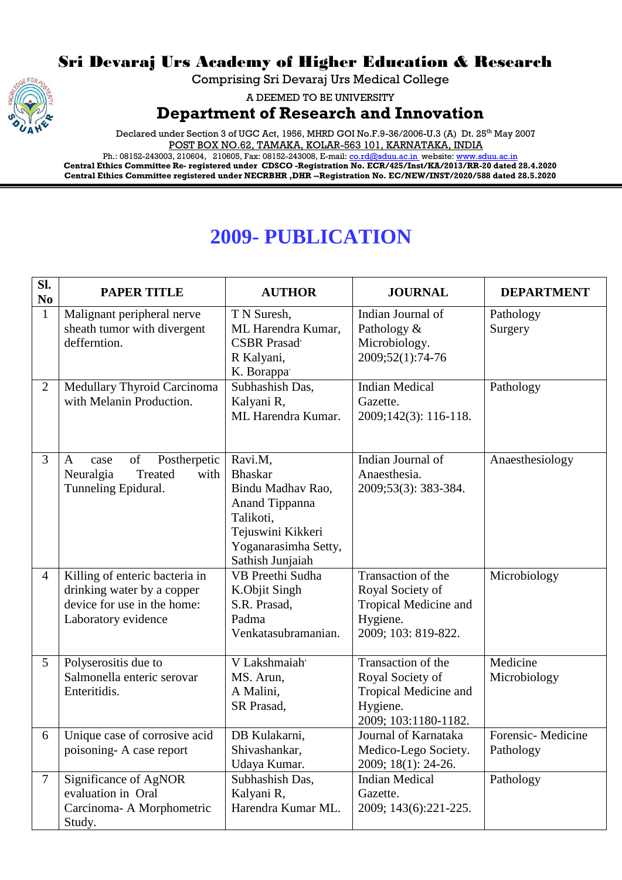## Sri Devaraj Urs Academy of Higher Education & Research

Comprising Sri Devaraj Urs Medical College

A DEEMED TO BE UNIVERSITY

**Department of Research and Innovation**

Declared under Section 3 of UGC Act, 1956, MHRD GOI No.F.9-36/2006-U.3 (A) Dt. 25<sup>th</sup> May 2007 POST BOX NO.62, TAMAKA, KOLAR-563 101, KARNATAKA, INDIA

Ph.: 08152-243003, 210604, 210605, Fax: 08152-243008, E-mail: <u>co.rd@sduu.ac.in</u>\_website: <u>www.sduu.ac.in</u> **Central Ethics Committee Re- registered under CDSCO -Registration No. ECR/425/Inst/KA/2013/RR-20 dated 28.4.2020 Central Ethics Committee registered under NECRBHR ,DHR --Registration No. EC/NEW/INST/2020/588 dated 28.5.2020**

## **2009- PUBLICATION**

| Sl.<br>N <sub>0</sub> | <b>PAPER TITLE</b>                                                                                                 | <b>AUTHOR</b>                                                                                                                                  | <b>JOURNAL</b>                                                                                      | <b>DEPARTMENT</b>              |
|-----------------------|--------------------------------------------------------------------------------------------------------------------|------------------------------------------------------------------------------------------------------------------------------------------------|-----------------------------------------------------------------------------------------------------|--------------------------------|
| $\mathbf{1}$          | Malignant peripheral nerve<br>sheath tumor with divergent<br>defferntion.                                          | T N Suresh,<br>ML Harendra Kumar,<br><b>CSBR</b> Prasad'<br>R Kalyani,<br>K. Borappa                                                           | Indian Journal of<br>Pathology &<br>Microbiology.<br>2009;52(1):74-76                               | Pathology<br>Surgery           |
| $\overline{2}$        | Medullary Thyroid Carcinoma<br>with Melanin Production.                                                            | Subhashish Das,<br>Kalyani R,<br>ML Harendra Kumar.                                                                                            | <b>Indian Medical</b><br>Gazette.<br>2009;142(3): 116-118.                                          | Pathology                      |
| 3                     | of<br>Postherpetic<br>A<br>case<br>Neuralgia<br>with<br>Treated<br>Tunneling Epidural.                             | Ravi.M,<br><b>Bhaskar</b><br>Bindu Madhav Rao,<br>Anand Tippanna<br>Talikoti,<br>Tejuswini Kikkeri<br>Yoganarasimha Setty,<br>Sathish Junjaiah | Indian Journal of<br>Anaesthesia.<br>2009;53(3): 383-384.                                           | Anaesthesiology                |
| $\overline{4}$        | Killing of enteric bacteria in<br>drinking water by a copper<br>device for use in the home:<br>Laboratory evidence | VB Preethi Sudha<br>K.Objit Singh<br>S.R. Prasad,<br>Padma<br>Venkatasubramanian.                                                              | Transaction of the<br>Royal Society of<br>Tropical Medicine and<br>Hygiene.<br>2009; 103: 819-822.  | Microbiology                   |
| 5                     | Polyserositis due to<br>Salmonella enteric serovar<br>Enteritidis.                                                 | V Lakshmaiah'<br>MS. Arun,<br>A Malini,<br>SR Prasad,                                                                                          | Transaction of the<br>Royal Society of<br>Tropical Medicine and<br>Hygiene.<br>2009; 103:1180-1182. | Medicine<br>Microbiology       |
| 6                     | Unique case of corrosive acid<br>poisoning-A case report                                                           | DB Kulakarni,<br>Shivashankar,<br>Udaya Kumar.                                                                                                 | Journal of Karnataka<br>Medico-Lego Society.<br>2009; 18(1): 24-26.                                 | Forensic-Medicine<br>Pathology |
| $\tau$                | Significance of AgNOR<br>evaluation in Oral<br>Carcinoma- A Morphometric<br>Study.                                 | Subhashish Das,<br>Kalyani R,<br>Harendra Kumar ML.                                                                                            | <b>Indian Medical</b><br>Gazette.<br>2009; 143(6):221-225.                                          | Pathology                      |

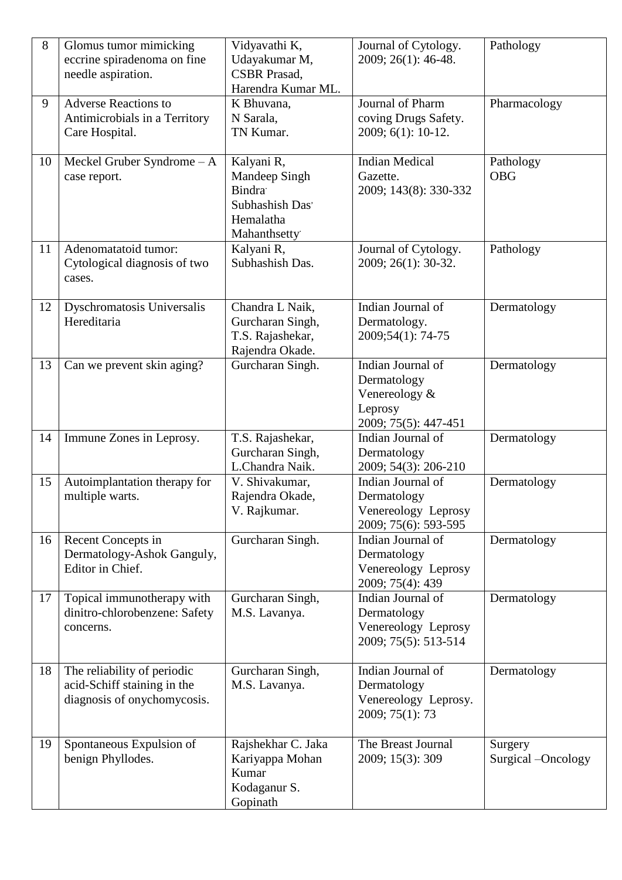| 8  | Glomus tumor mimicking<br>eccrine spiradenoma on fine<br>needle aspiration.               | Vidyavathi K,<br>Udayakumar M,<br><b>CSBR</b> Prasad,<br>Harendra Kumar ML.                  | Journal of Cytology.<br>2009; 26(1): 46-48.                                          | Pathology                     |
|----|-------------------------------------------------------------------------------------------|----------------------------------------------------------------------------------------------|--------------------------------------------------------------------------------------|-------------------------------|
| 9  | <b>Adverse Reactions to</b><br>Antimicrobials in a Territory<br>Care Hospital.            | K Bhuvana,<br>N Sarala,<br>TN Kumar.                                                         | Journal of Pharm<br>coving Drugs Safety.<br>2009; 6(1): 10-12.                       | Pharmacology                  |
| 10 | Meckel Gruber Syndrome $-A$<br>case report.                                               | Kalyani R,<br>Mandeep Singh<br><b>Bindra</b><br>Subhashish Das'<br>Hemalatha<br>Mahanthsetty | <b>Indian Medical</b><br>Gazette.<br>2009; 143(8): 330-332                           | Pathology<br><b>OBG</b>       |
| 11 | Adenomatatoid tumor:<br>Cytological diagnosis of two<br>cases.                            | Kalyani R,<br>Subhashish Das.                                                                | Journal of Cytology.<br>2009; 26(1): 30-32.                                          | Pathology                     |
| 12 | Dyschromatosis Universalis<br>Hereditaria                                                 | Chandra L Naik,<br>Gurcharan Singh,<br>T.S. Rajashekar,<br>Rajendra Okade.                   | Indian Journal of<br>Dermatology.<br>2009;54(1): 74-75                               | Dermatology                   |
| 13 | Can we prevent skin aging?                                                                | Gurcharan Singh.                                                                             | Indian Journal of<br>Dermatology<br>Venereology &<br>Leprosy<br>2009; 75(5): 447-451 | Dermatology                   |
| 14 | Immune Zones in Leprosy.                                                                  | T.S. Rajashekar,<br>Gurcharan Singh,<br>L.Chandra Naik.                                      | Indian Journal of<br>Dermatology<br>2009; 54(3): 206-210                             | Dermatology                   |
| 15 | Autoimplantation therapy for<br>multiple warts.                                           | V. Shivakumar,<br>Rajendra Okade,<br>V. Rajkumar.                                            | Indian Journal of<br>Dermatology<br>Venereology Leprosy<br>2009; 75(6): 593-595      | Dermatology                   |
| 16 | Recent Concepts in<br>Dermatology-Ashok Ganguly,<br>Editor in Chief.                      | Gurcharan Singh.                                                                             | Indian Journal of<br>Dermatology<br>Venereology Leprosy<br>2009; 75(4): 439          | Dermatology                   |
| 17 | Topical immunotherapy with<br>dinitro-chlorobenzene: Safety<br>concerns.                  | Gurcharan Singh,<br>M.S. Lavanya.                                                            | Indian Journal of<br>Dermatology<br>Venereology Leprosy<br>2009; 75(5): 513-514      | Dermatology                   |
| 18 | The reliability of periodic<br>acid-Schiff staining in the<br>diagnosis of onychomycosis. | Gurcharan Singh,<br>M.S. Lavanya.                                                            | Indian Journal of<br>Dermatology<br>Venereology Leprosy.<br>2009; 75(1): 73          | Dermatology                   |
| 19 | Spontaneous Expulsion of<br>benign Phyllodes.                                             | Rajshekhar C. Jaka<br>Kariyappa Mohan<br>Kumar<br>Kodaganur S.<br>Gopinath                   | The Breast Journal<br>2009; 15(3): 309                                               | Surgery<br>Surgical -Oncology |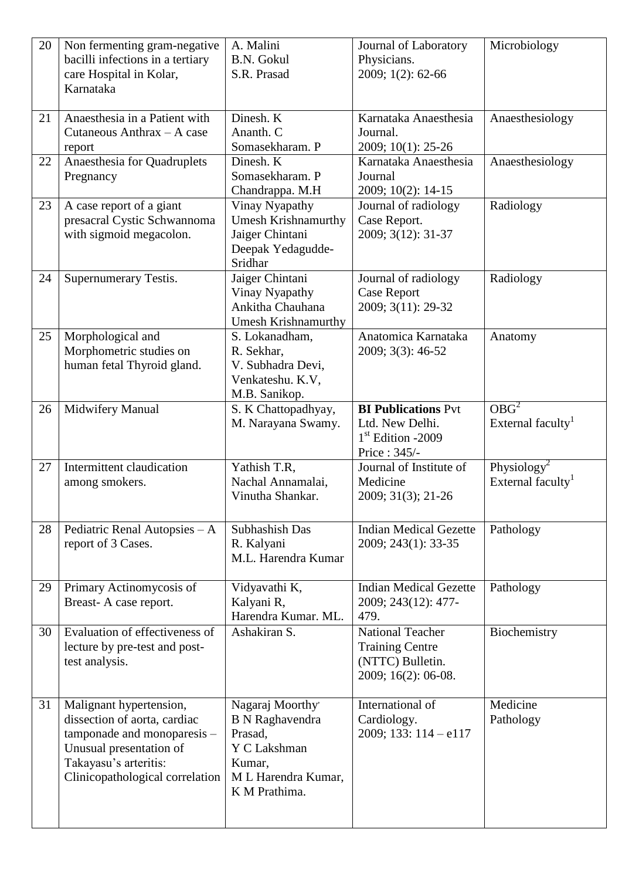| 20 | Non fermenting gram-negative     | A. Malini                         | Journal of Laboratory               | Microbiology                                             |
|----|----------------------------------|-----------------------------------|-------------------------------------|----------------------------------------------------------|
|    | bacilli infections in a tertiary | <b>B.N. Gokul</b>                 | Physicians.                         |                                                          |
|    | care Hospital in Kolar,          | S.R. Prasad                       | 2009; 1(2): 62-66                   |                                                          |
|    | Karnataka                        |                                   |                                     |                                                          |
| 21 | Anaesthesia in a Patient with    | Dinesh. K                         | Karnataka Anaesthesia               | Anaesthesiology                                          |
|    | Cutaneous Anthrax - A case       | Ananth. C                         | Journal.                            |                                                          |
|    | report                           | Somasekharam. P                   | 2009; 10(1): 25-26                  |                                                          |
| 22 | Anaesthesia for Quadruplets      | Dinesh. K                         | Karnataka Anaesthesia               | Anaesthesiology                                          |
|    | Pregnancy                        | Somasekharam. P                   | Journal                             |                                                          |
|    |                                  | Chandrappa. M.H                   | 2009; 10(2): 14-15                  |                                                          |
| 23 | A case report of a giant         | Vinay Nyapathy                    | Journal of radiology                | Radiology                                                |
|    | presacral Cystic Schwannoma      | <b>Umesh Krishnamurthy</b>        | Case Report.                        |                                                          |
|    | with sigmoid megacolon.          | Jaiger Chintani                   | 2009; 3(12): 31-37                  |                                                          |
|    |                                  | Deepak Yedagudde-                 |                                     |                                                          |
|    |                                  | Sridhar<br>Jaiger Chintani        | Journal of radiology                |                                                          |
| 24 | Supernumerary Testis.            | Vinay Nyapathy                    | <b>Case Report</b>                  | Radiology                                                |
|    |                                  | Ankitha Chauhana                  | 2009; 3(11): 29-32                  |                                                          |
|    |                                  | Umesh Krishnamurthy               |                                     |                                                          |
| 25 | Morphological and                | S. Lokanadham,                    | Anatomica Karnataka                 | Anatomy                                                  |
|    | Morphometric studies on          | R. Sekhar,                        | 2009; 3(3): 46-52                   |                                                          |
|    | human fetal Thyroid gland.       | V. Subhadra Devi,                 |                                     |                                                          |
|    |                                  | Venkateshu. K.V,                  |                                     |                                                          |
|    |                                  | M.B. Sanikop.                     |                                     |                                                          |
| 26 | Midwifery Manual                 | S. K Chattopadhyay,               | <b>BI Publications Pvt</b>          | $OB\overline{G}^2$                                       |
|    |                                  | M. Narayana Swamy.                | Ltd. New Delhi.                     | External faculty <sup>1</sup>                            |
|    |                                  |                                   | 1 <sup>st</sup> Edition -2009       |                                                          |
|    |                                  |                                   | Price: 345/-                        |                                                          |
| 27 | Intermittent claudication        | Yathish T.R,<br>Nachal Annamalai, | Journal of Institute of<br>Medicine | Physiology <sup>2</sup><br>External faculty <sup>1</sup> |
|    | among smokers.                   | Vinutha Shankar.                  | 2009; 31(3); 21-26                  |                                                          |
|    |                                  |                                   |                                     |                                                          |
| 28 | Pediatric Renal Autopsies - A    | Subhashish Das                    | <b>Indian Medical Gezette</b>       | Pathology                                                |
|    | report of 3 Cases.               | R. Kalyani                        | 2009; 243(1): 33-35                 |                                                          |
|    |                                  | M.L. Harendra Kumar               |                                     |                                                          |
|    |                                  |                                   |                                     |                                                          |
| 29 | Primary Actinomycosis of         | Vidyavathi K,                     | <b>Indian Medical Gezette</b>       | Pathology                                                |
|    | Breast-A case report.            | Kalyani R,                        | 2009; 243(12): 477-                 |                                                          |
|    |                                  | Harendra Kumar. ML.               | 479.                                |                                                          |
| 30 | Evaluation of effectiveness of   | Ashakiran S.                      | <b>National Teacher</b>             | Biochemistry                                             |
|    | lecture by pre-test and post-    |                                   | <b>Training Centre</b>              |                                                          |
|    | test analysis.                   |                                   | (NTTC) Bulletin.                    |                                                          |
|    |                                  |                                   | 2009; 16(2): 06-08.                 |                                                          |
| 31 | Malignant hypertension,          | Nagaraj Moorthy                   | International of                    | Medicine                                                 |
|    | dissection of aorta, cardiac     | <b>B</b> N Raghavendra            | Cardiology.                         | Pathology                                                |
|    | tamponade and monoparesis -      | Prasad,                           | 2009; 133: $114 - e117$             |                                                          |
|    | Unusual presentation of          | Y C Lakshman                      |                                     |                                                          |
|    | Takayasu's arteritis:            | Kumar,                            |                                     |                                                          |
|    | Clinicopathological correlation  | M L Harendra Kumar,               |                                     |                                                          |
|    |                                  | K M Prathima.                     |                                     |                                                          |
|    |                                  |                                   |                                     |                                                          |
|    |                                  |                                   |                                     |                                                          |